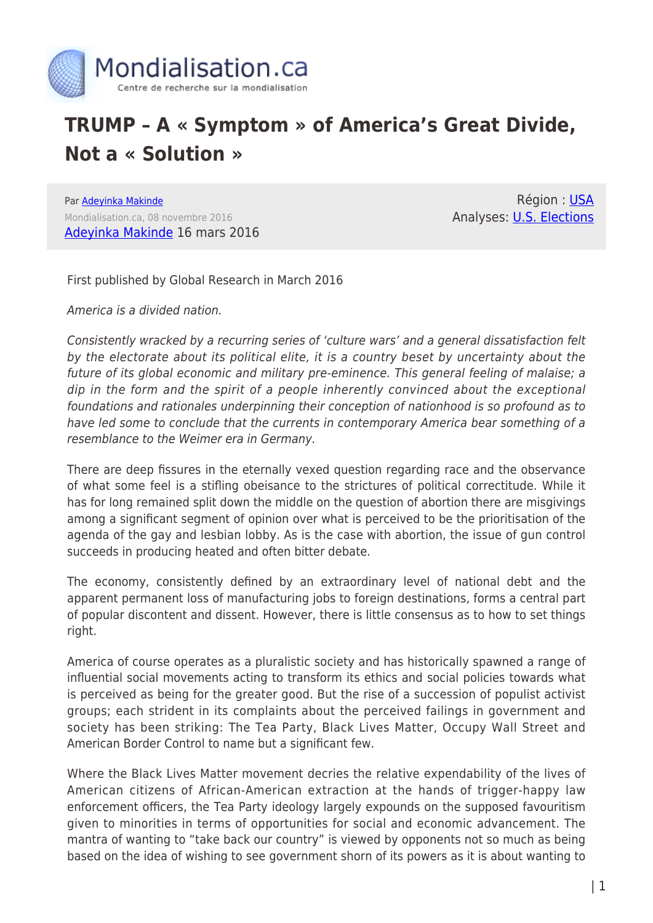

## **TRUMP – A « Symptom » of America's Great Divide, Not a « Solution »**

Par [Adeyinka Makinde](https://www.mondialisation.ca/author/adeyinka-makinde) Mondialisation.ca, 08 novembre 2016 [Adeyinka Makinde](http://adeyinkamakinde.blogspot.co.uk/2016/03/trump-symptom-of-and-not-solution-to.html) 16 mars 2016

Région : [USA](https://www.mondialisation.ca/region/usa) Analyses: [U.S. Elections](https://www.mondialisation.ca/indepthreport/u-s-elections)

First published by Global Research in March 2016

America is a divided nation.

Consistently wracked by a recurring series of 'culture wars' and a general dissatisfaction felt by the electorate about its political elite, it is a country beset by uncertainty about the future of its global economic and military pre-eminence. This general feeling of malaise; a dip in the form and the spirit of a people inherently convinced about the exceptional foundations and rationales underpinning their conception of nationhood is so profound as to have led some to conclude that the currents in contemporary America bear something of a resemblance to the Weimer era in Germany.

There are deep fissures in the eternally vexed question regarding race and the observance of what some feel is a stifling obeisance to the strictures of political correctitude. While it has for long remained split down the middle on the question of abortion there are misgivings among a significant segment of opinion over what is perceived to be the prioritisation of the agenda of the gay and lesbian lobby. As is the case with abortion, the issue of gun control succeeds in producing heated and often bitter debate.

The economy, consistently defined by an extraordinary level of national debt and the apparent permanent loss of manufacturing jobs to foreign destinations, forms a central part of popular discontent and dissent. However, there is little consensus as to how to set things right.

America of course operates as a pluralistic society and has historically spawned a range of influential social movements acting to transform its ethics and social policies towards what is perceived as being for the greater good. But the rise of a succession of populist activist groups; each strident in its complaints about the perceived failings in government and society has been striking: The Tea Party, Black Lives Matter, Occupy Wall Street and American Border Control to name but a significant few.

Where the Black Lives Matter movement decries the relative expendability of the lives of American citizens of African-American extraction at the hands of trigger-happy law enforcement officers, the Tea Party ideology largely expounds on the supposed favouritism given to minorities in terms of opportunities for social and economic advancement. The mantra of wanting to "take back our country" is viewed by opponents not so much as being based on the idea of wishing to see government shorn of its powers as it is about wanting to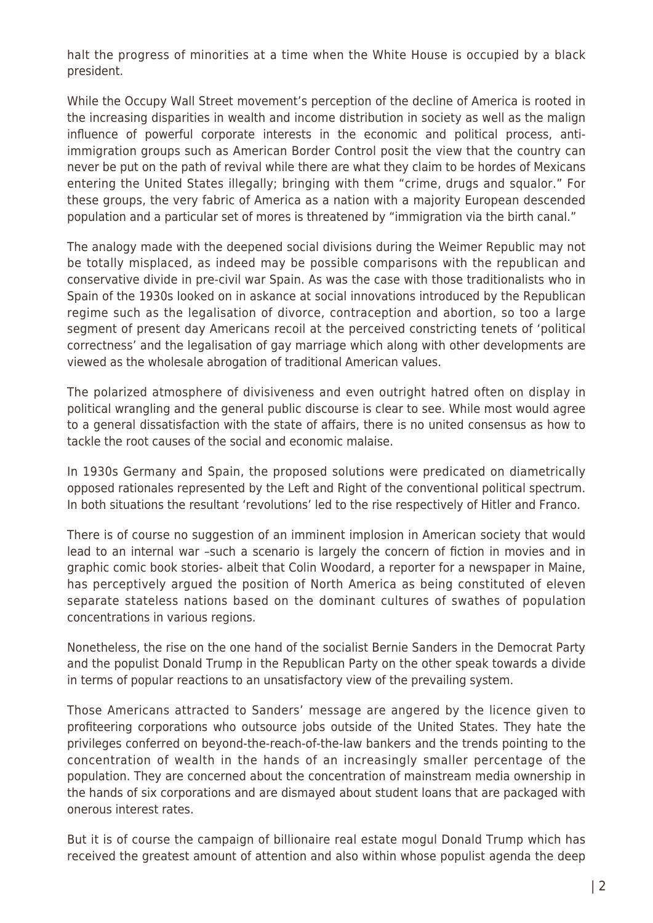halt the progress of minorities at a time when the White House is occupied by a black president.

While the Occupy Wall Street movement's perception of the decline of America is rooted in the increasing disparities in wealth and income distribution in society as well as the malign influence of powerful corporate interests in the economic and political process, antiimmigration groups such as American Border Control posit the view that the country can never be put on the path of revival while there are what they claim to be hordes of Mexicans entering the United States illegally; bringing with them "crime, drugs and squalor." For these groups, the very fabric of America as a nation with a majority European descended population and a particular set of mores is threatened by "immigration via the birth canal."

The analogy made with the deepened social divisions during the Weimer Republic may not be totally misplaced, as indeed may be possible comparisons with the republican and conservative divide in pre-civil war Spain. As was the case with those traditionalists who in Spain of the 1930s looked on in askance at social innovations introduced by the Republican regime such as the legalisation of divorce, contraception and abortion, so too a large segment of present day Americans recoil at the perceived constricting tenets of 'political correctness' and the legalisation of gay marriage which along with other developments are viewed as the wholesale abrogation of traditional American values.

The polarized atmosphere of divisiveness and even outright hatred often on display in political wrangling and the general public discourse is clear to see. While most would agree to a general dissatisfaction with the state of affairs, there is no united consensus as how to tackle the root causes of the social and economic malaise.

In 1930s Germany and Spain, the proposed solutions were predicated on diametrically opposed rationales represented by the Left and Right of the conventional political spectrum. In both situations the resultant 'revolutions' led to the rise respectively of Hitler and Franco.

There is of course no suggestion of an imminent implosion in American society that would lead to an internal war –such a scenario is largely the concern of fiction in movies and in graphic comic book stories- albeit that Colin Woodard, a reporter for a newspaper in Maine, has perceptively argued the position of North America as being constituted of eleven separate stateless nations based on the dominant cultures of swathes of population concentrations in various regions.

Nonetheless, the rise on the one hand of the socialist Bernie Sanders in the Democrat Party and the populist Donald Trump in the Republican Party on the other speak towards a divide in terms of popular reactions to an unsatisfactory view of the prevailing system.

Those Americans attracted to Sanders' message are angered by the licence given to profiteering corporations who outsource jobs outside of the United States. They hate the privileges conferred on beyond-the-reach-of-the-law bankers and the trends pointing to the concentration of wealth in the hands of an increasingly smaller percentage of the population. They are concerned about the concentration of mainstream media ownership in the hands of six corporations and are dismayed about student loans that are packaged with onerous interest rates.

But it is of course the campaign of billionaire real estate mogul Donald Trump which has received the greatest amount of attention and also within whose populist agenda the deep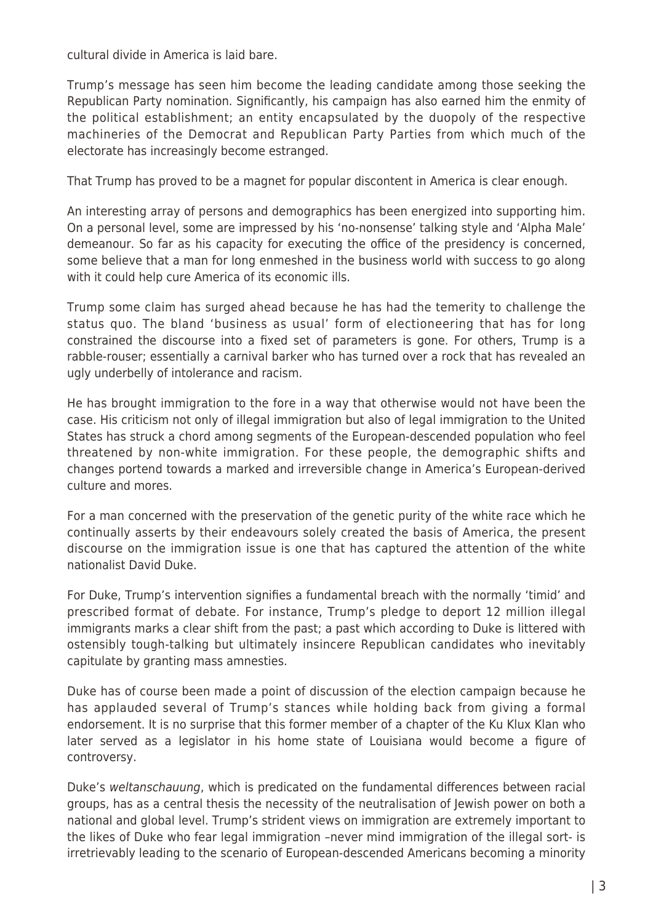cultural divide in America is laid bare.

Trump's message has seen him become the leading candidate among those seeking the Republican Party nomination. Significantly, his campaign has also earned him the enmity of the political establishment; an entity encapsulated by the duopoly of the respective machineries of the Democrat and Republican Party Parties from which much of the electorate has increasingly become estranged.

That Trump has proved to be a magnet for popular discontent in America is clear enough.

An interesting array of persons and demographics has been energized into supporting him. On a personal level, some are impressed by his 'no-nonsense' talking style and 'Alpha Male' demeanour. So far as his capacity for executing the office of the presidency is concerned, some believe that a man for long enmeshed in the business world with success to go along with it could help cure America of its economic ills.

Trump some claim has surged ahead because he has had the temerity to challenge the status quo. The bland 'business as usual' form of electioneering that has for long constrained the discourse into a fixed set of parameters is gone. For others, Trump is a rabble-rouser; essentially a carnival barker who has turned over a rock that has revealed an ugly underbelly of intolerance and racism.

He has brought immigration to the fore in a way that otherwise would not have been the case. His criticism not only of illegal immigration but also of legal immigration to the United States has struck a chord among segments of the European-descended population who feel threatened by non-white immigration. For these people, the demographic shifts and changes portend towards a marked and irreversible change in America's European-derived culture and mores.

For a man concerned with the preservation of the genetic purity of the white race which he continually asserts by their endeavours solely created the basis of America, the present discourse on the immigration issue is one that has captured the attention of the white nationalist David Duke.

For Duke, Trump's intervention signifies a fundamental breach with the normally 'timid' and prescribed format of debate. For instance, Trump's pledge to deport 12 million illegal immigrants marks a clear shift from the past; a past which according to Duke is littered with ostensibly tough-talking but ultimately insincere Republican candidates who inevitably capitulate by granting mass amnesties.

Duke has of course been made a point of discussion of the election campaign because he has applauded several of Trump's stances while holding back from giving a formal endorsement. It is no surprise that this former member of a chapter of the Ku Klux Klan who later served as a legislator in his home state of Louisiana would become a figure of controversy.

Duke's weltanschauung, which is predicated on the fundamental differences between racial groups, has as a central thesis the necessity of the neutralisation of Jewish power on both a national and global level. Trump's strident views on immigration are extremely important to the likes of Duke who fear legal immigration –never mind immigration of the illegal sort- is irretrievably leading to the scenario of European-descended Americans becoming a minority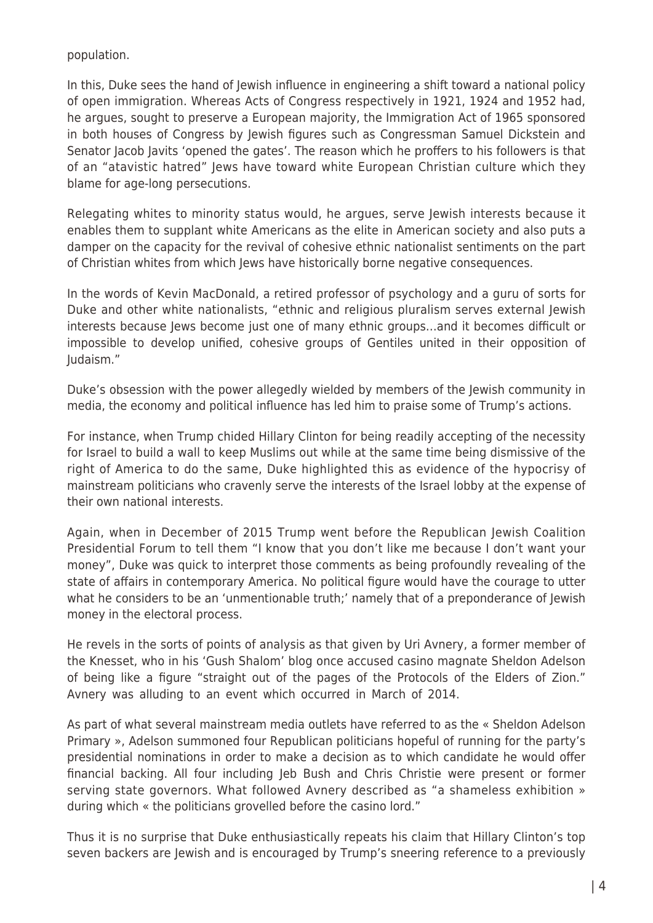population.

In this, Duke sees the hand of Jewish influence in engineering a shift toward a national policy of open immigration. Whereas Acts of Congress respectively in 1921, 1924 and 1952 had, he argues, sought to preserve a European majority, the Immigration Act of 1965 sponsored in both houses of Congress by Jewish figures such as Congressman Samuel Dickstein and Senator Jacob Javits 'opened the gates'. The reason which he proffers to his followers is that of an "atavistic hatred" Jews have toward white European Christian culture which they blame for age-long persecutions.

Relegating whites to minority status would, he argues, serve Jewish interests because it enables them to supplant white Americans as the elite in American society and also puts a damper on the capacity for the revival of cohesive ethnic nationalist sentiments on the part of Christian whites from which Jews have historically borne negative consequences.

In the words of Kevin MacDonald, a retired professor of psychology and a guru of sorts for Duke and other white nationalists, "ethnic and religious pluralism serves external Jewish interests because Jews become just one of many ethnic groups…and it becomes difficult or impossible to develop unified, cohesive groups of Gentiles united in their opposition of Judaism."

Duke's obsession with the power allegedly wielded by members of the Jewish community in media, the economy and political influence has led him to praise some of Trump's actions.

For instance, when Trump chided Hillary Clinton for being readily accepting of the necessity for Israel to build a wall to keep Muslims out while at the same time being dismissive of the right of America to do the same, Duke highlighted this as evidence of the hypocrisy of mainstream politicians who cravenly serve the interests of the Israel lobby at the expense of their own national interests.

Again, when in December of 2015 Trump went before the Republican Jewish Coalition Presidential Forum to tell them "I know that you don't like me because I don't want your money", Duke was quick to interpret those comments as being profoundly revealing of the state of affairs in contemporary America. No political figure would have the courage to utter what he considers to be an 'unmentionable truth;' namely that of a preponderance of Jewish money in the electoral process.

He revels in the sorts of points of analysis as that given by Uri Avnery, a former member of the Knesset, who in his 'Gush Shalom' blog once accused casino magnate Sheldon Adelson of being like a figure "straight out of the pages of the Protocols of the Elders of Zion." Avnery was alluding to an event which occurred in March of 2014.

As part of what several mainstream media outlets have referred to as the « Sheldon Adelson Primary », Adelson summoned four Republican politicians hopeful of running for the party's presidential nominations in order to make a decision as to which candidate he would offer financial backing. All four including Jeb Bush and Chris Christie were present or former serving state governors. What followed Avnery described as "a shameless exhibition » during which « the politicians grovelled before the casino lord."

Thus it is no surprise that Duke enthusiastically repeats his claim that Hillary Clinton's top seven backers are Jewish and is encouraged by Trump's sneering reference to a previously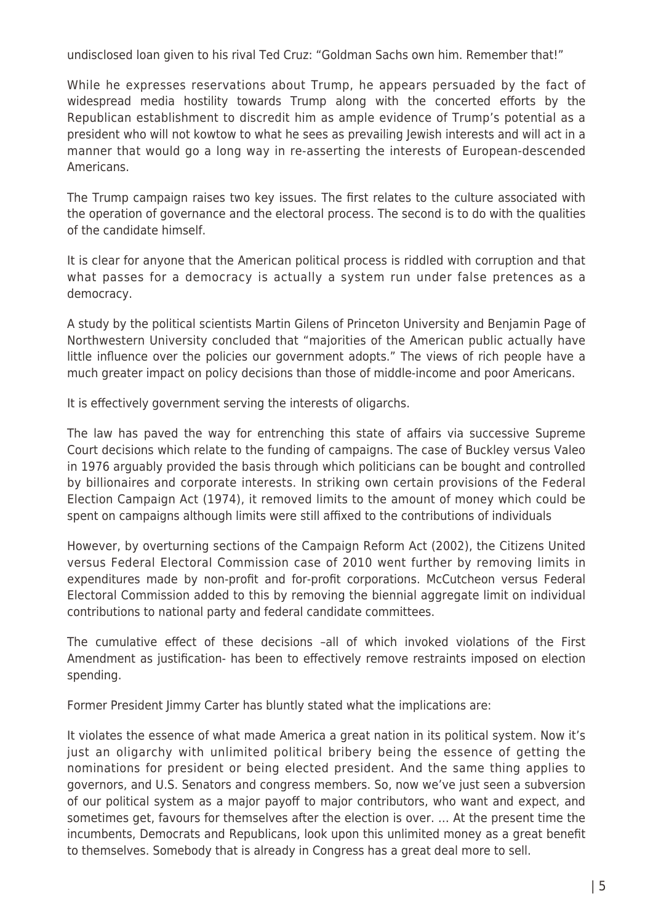undisclosed loan given to his rival Ted Cruz: "Goldman Sachs own him. Remember that!"

While he expresses reservations about Trump, he appears persuaded by the fact of widespread media hostility towards Trump along with the concerted efforts by the Republican establishment to discredit him as ample evidence of Trump's potential as a president who will not kowtow to what he sees as prevailing Jewish interests and will act in a manner that would go a long way in re-asserting the interests of European-descended Americans.

The Trump campaign raises two key issues. The first relates to the culture associated with the operation of governance and the electoral process. The second is to do with the qualities of the candidate himself.

It is clear for anyone that the American political process is riddled with corruption and that what passes for a democracy is actually a system run under false pretences as a democracy.

A study by the political scientists Martin Gilens of Princeton University and Benjamin Page of Northwestern University concluded that "majorities of the American public actually have little influence over the policies our government adopts." The views of rich people have a much greater impact on policy decisions than those of middle-income and poor Americans.

It is effectively government serving the interests of oligarchs.

The law has paved the way for entrenching this state of affairs via successive Supreme Court decisions which relate to the funding of campaigns. The case of Buckley versus Valeo in 1976 arguably provided the basis through which politicians can be bought and controlled by billionaires and corporate interests. In striking own certain provisions of the Federal Election Campaign Act (1974), it removed limits to the amount of money which could be spent on campaigns although limits were still affixed to the contributions of individuals

However, by overturning sections of the Campaign Reform Act (2002), the Citizens United versus Federal Electoral Commission case of 2010 went further by removing limits in expenditures made by non-profit and for-profit corporations. McCutcheon versus Federal Electoral Commission added to this by removing the biennial aggregate limit on individual contributions to national party and federal candidate committees.

The cumulative effect of these decisions –all of which invoked violations of the First Amendment as justification- has been to effectively remove restraints imposed on election spending.

Former President Jimmy Carter has bluntly stated what the implications are:

It violates the essence of what made America a great nation in its political system. Now it's just an oligarchy with unlimited political bribery being the essence of getting the nominations for president or being elected president. And the same thing applies to governors, and U.S. Senators and congress members. So, now we've just seen a subversion of our political system as a major payoff to major contributors, who want and expect, and sometimes get, favours for themselves after the election is over. … At the present time the incumbents, Democrats and Republicans, look upon this unlimited money as a great benefit to themselves. Somebody that is already in Congress has a great deal more to sell.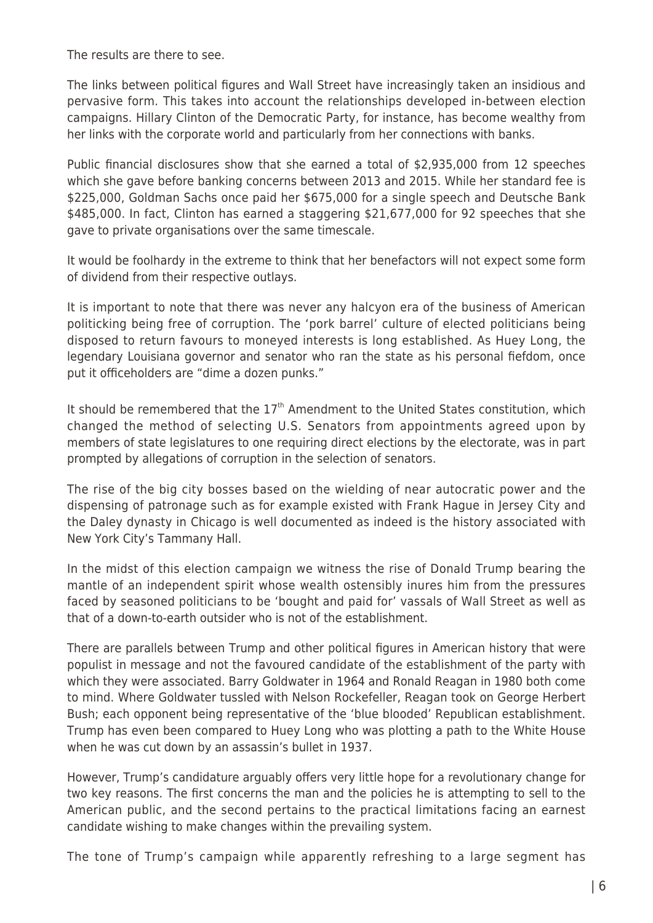The results are there to see.

The links between political figures and Wall Street have increasingly taken an insidious and pervasive form. This takes into account the relationships developed in-between election campaigns. Hillary Clinton of the Democratic Party, for instance, has become wealthy from her links with the corporate world and particularly from her connections with banks.

Public financial disclosures show that she earned a total of \$2,935,000 from 12 speeches which she gave before banking concerns between 2013 and 2015. While her standard fee is \$225,000, Goldman Sachs once paid her \$675,000 for a single speech and Deutsche Bank \$485,000. In fact, Clinton has earned a staggering \$21,677,000 for 92 speeches that she gave to private organisations over the same timescale.

It would be foolhardy in the extreme to think that her benefactors will not expect some form of dividend from their respective outlays.

It is important to note that there was never any halcyon era of the business of American politicking being free of corruption. The 'pork barrel' culture of elected politicians being disposed to return favours to moneyed interests is long established. As Huey Long, the legendary Louisiana governor and senator who ran the state as his personal fiefdom, once put it officeholders are "dime a dozen punks."

It should be remembered that the  $17<sup>th</sup>$  Amendment to the United States constitution, which changed the method of selecting U.S. Senators from appointments agreed upon by members of state legislatures to one requiring direct elections by the electorate, was in part prompted by allegations of corruption in the selection of senators.

The rise of the big city bosses based on the wielding of near autocratic power and the dispensing of patronage such as for example existed with Frank Hague in Jersey City and the Daley dynasty in Chicago is well documented as indeed is the history associated with New York City's Tammany Hall.

In the midst of this election campaign we witness the rise of Donald Trump bearing the mantle of an independent spirit whose wealth ostensibly inures him from the pressures faced by seasoned politicians to be 'bought and paid for' vassals of Wall Street as well as that of a down-to-earth outsider who is not of the establishment.

There are parallels between Trump and other political figures in American history that were populist in message and not the favoured candidate of the establishment of the party with which they were associated. Barry Goldwater in 1964 and Ronald Reagan in 1980 both come to mind. Where Goldwater tussled with Nelson Rockefeller, Reagan took on George Herbert Bush; each opponent being representative of the 'blue blooded' Republican establishment. Trump has even been compared to Huey Long who was plotting a path to the White House when he was cut down by an assassin's bullet in 1937.

However, Trump's candidature arguably offers very little hope for a revolutionary change for two key reasons. The first concerns the man and the policies he is attempting to sell to the American public, and the second pertains to the practical limitations facing an earnest candidate wishing to make changes within the prevailing system.

The tone of Trump's campaign while apparently refreshing to a large segment has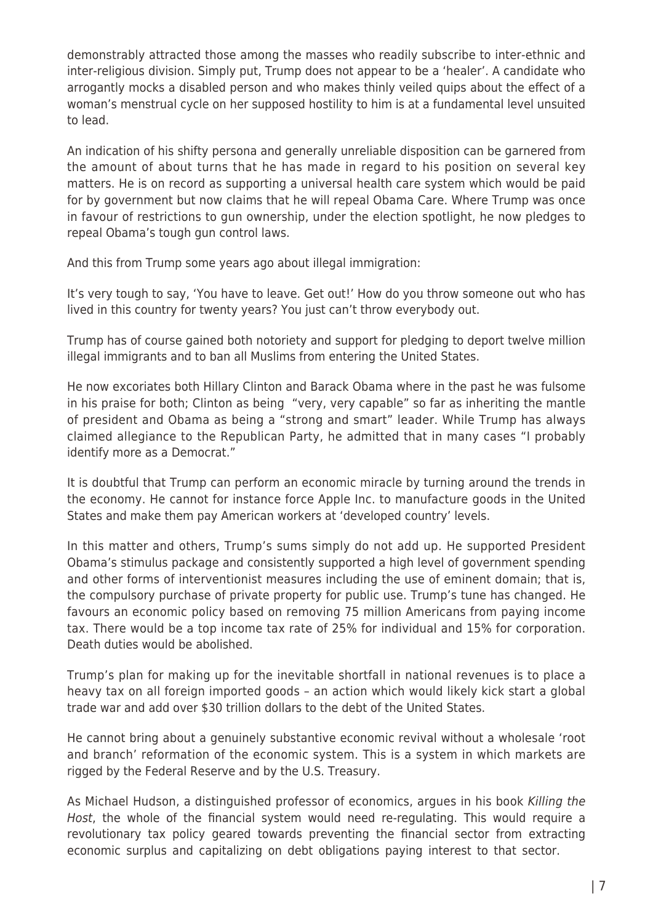demonstrably attracted those among the masses who readily subscribe to inter-ethnic and inter-religious division. Simply put, Trump does not appear to be a 'healer'. A candidate who arrogantly mocks a disabled person and who makes thinly veiled quips about the effect of a woman's menstrual cycle on her supposed hostility to him is at a fundamental level unsuited to lead.

An indication of his shifty persona and generally unreliable disposition can be garnered from the amount of about turns that he has made in regard to his position on several key matters. He is on record as supporting a universal health care system which would be paid for by government but now claims that he will repeal Obama Care. Where Trump was once in favour of restrictions to gun ownership, under the election spotlight, he now pledges to repeal Obama's tough gun control laws.

And this from Trump some years ago about illegal immigration:

It's very tough to say, 'You have to leave. Get out!' How do you throw someone out who has lived in this country for twenty years? You just can't throw everybody out.

Trump has of course gained both notoriety and support for pledging to deport twelve million illegal immigrants and to ban all Muslims from entering the United States.

He now excoriates both Hillary Clinton and Barack Obama where in the past he was fulsome in his praise for both; Clinton as being "very, very capable" so far as inheriting the mantle of president and Obama as being a "strong and smart" leader. While Trump has always claimed allegiance to the Republican Party, he admitted that in many cases "I probably identify more as a Democrat."

It is doubtful that Trump can perform an economic miracle by turning around the trends in the economy. He cannot for instance force Apple Inc. to manufacture goods in the United States and make them pay American workers at 'developed country' levels.

In this matter and others, Trump's sums simply do not add up. He supported President Obama's stimulus package and consistently supported a high level of government spending and other forms of interventionist measures including the use of eminent domain; that is, the compulsory purchase of private property for public use. Trump's tune has changed. He favours an economic policy based on removing 75 million Americans from paying income tax. There would be a top income tax rate of 25% for individual and 15% for corporation. Death duties would be abolished.

Trump's plan for making up for the inevitable shortfall in national revenues is to place a heavy tax on all foreign imported goods – an action which would likely kick start a global trade war and add over \$30 trillion dollars to the debt of the United States.

He cannot bring about a genuinely substantive economic revival without a wholesale 'root and branch' reformation of the economic system. This is a system in which markets are rigged by the Federal Reserve and by the U.S. Treasury.

As Michael Hudson, a distinguished professor of economics, argues in his book Killing the Host, the whole of the financial system would need re-regulating. This would require a revolutionary tax policy geared towards preventing the financial sector from extracting economic surplus and capitalizing on debt obligations paying interest to that sector.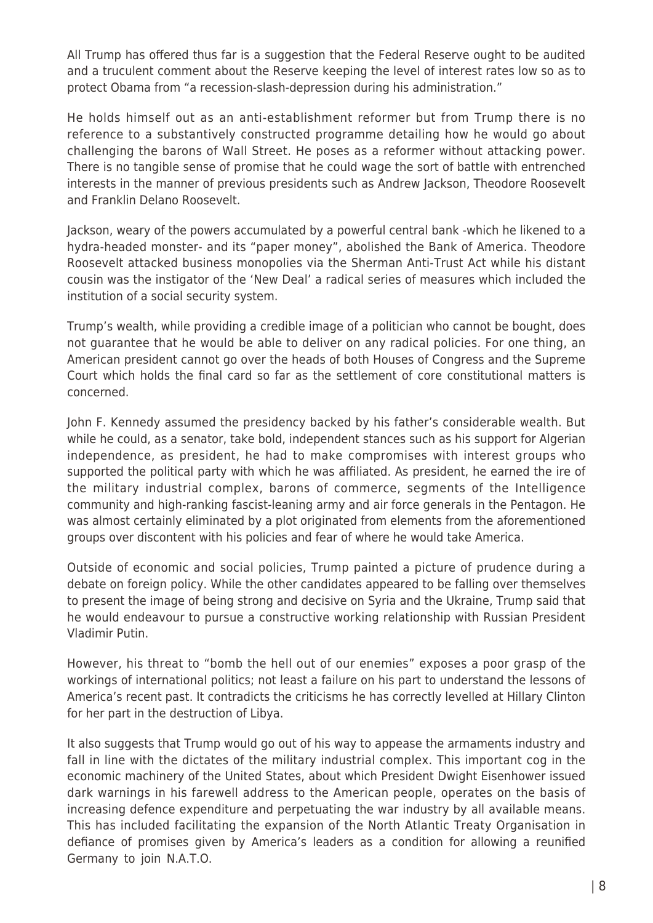All Trump has offered thus far is a suggestion that the Federal Reserve ought to be audited and a truculent comment about the Reserve keeping the level of interest rates low so as to protect Obama from "a recession-slash-depression during his administration."

He holds himself out as an anti-establishment reformer but from Trump there is no reference to a substantively constructed programme detailing how he would go about challenging the barons of Wall Street. He poses as a reformer without attacking power. There is no tangible sense of promise that he could wage the sort of battle with entrenched interests in the manner of previous presidents such as Andrew Jackson, Theodore Roosevelt and Franklin Delano Roosevelt.

Jackson, weary of the powers accumulated by a powerful central bank -which he likened to a hydra-headed monster- and its "paper money", abolished the Bank of America. Theodore Roosevelt attacked business monopolies via the Sherman Anti-Trust Act while his distant cousin was the instigator of the 'New Deal' a radical series of measures which included the institution of a social security system.

Trump's wealth, while providing a credible image of a politician who cannot be bought, does not guarantee that he would be able to deliver on any radical policies. For one thing, an American president cannot go over the heads of both Houses of Congress and the Supreme Court which holds the final card so far as the settlement of core constitutional matters is concerned.

John F. Kennedy assumed the presidency backed by his father's considerable wealth. But while he could, as a senator, take bold, independent stances such as his support for Algerian independence, as president, he had to make compromises with interest groups who supported the political party with which he was affiliated. As president, he earned the ire of the military industrial complex, barons of commerce, segments of the Intelligence community and high-ranking fascist-leaning army and air force generals in the Pentagon. He was almost certainly eliminated by a plot originated from elements from the aforementioned groups over discontent with his policies and fear of where he would take America.

Outside of economic and social policies, Trump painted a picture of prudence during a debate on foreign policy. While the other candidates appeared to be falling over themselves to present the image of being strong and decisive on Syria and the Ukraine, Trump said that he would endeavour to pursue a constructive working relationship with Russian President Vladimir Putin.

However, his threat to "bomb the hell out of our enemies" exposes a poor grasp of the workings of international politics; not least a failure on his part to understand the lessons of America's recent past. It contradicts the criticisms he has correctly levelled at Hillary Clinton for her part in the destruction of Libya.

It also suggests that Trump would go out of his way to appease the armaments industry and fall in line with the dictates of the military industrial complex. This important cog in the economic machinery of the United States, about which President Dwight Eisenhower issued dark warnings in his farewell address to the American people, operates on the basis of increasing defence expenditure and perpetuating the war industry by all available means. This has included facilitating the expansion of the North Atlantic Treaty Organisation in defiance of promises given by America's leaders as a condition for allowing a reunified Germany to join N.A.T.O.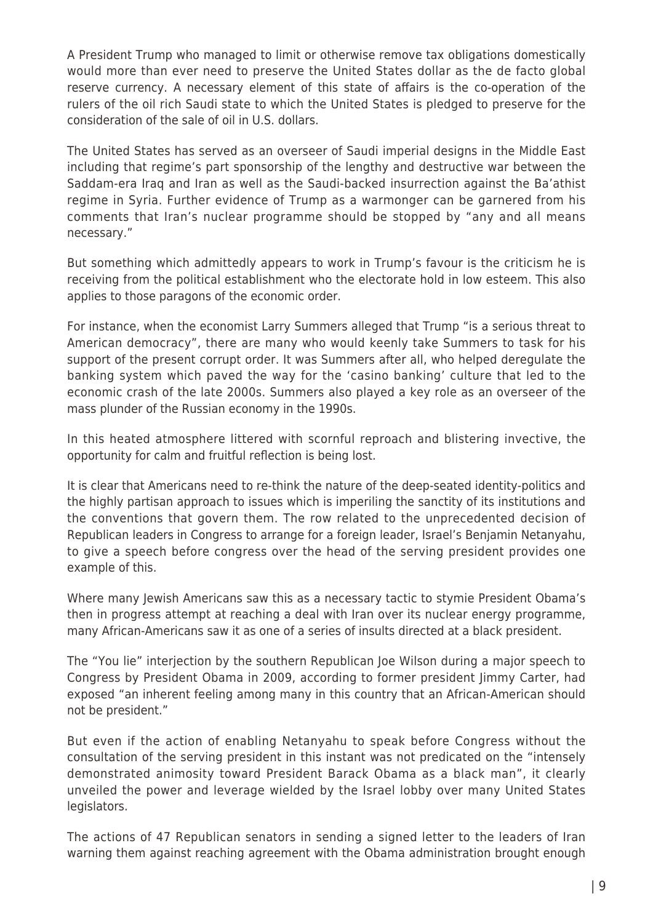A President Trump who managed to limit or otherwise remove tax obligations domestically would more than ever need to preserve the United States dollar as the de facto global reserve currency. A necessary element of this state of affairs is the co-operation of the rulers of the oil rich Saudi state to which the United States is pledged to preserve for the consideration of the sale of oil in U.S. dollars.

The United States has served as an overseer of Saudi imperial designs in the Middle East including that regime's part sponsorship of the lengthy and destructive war between the Saddam-era Iraq and Iran as well as the Saudi-backed insurrection against the Ba'athist regime in Syria. Further evidence of Trump as a warmonger can be garnered from his comments that Iran's nuclear programme should be stopped by "any and all means necessary."

But something which admittedly appears to work in Trump's favour is the criticism he is receiving from the political establishment who the electorate hold in low esteem. This also applies to those paragons of the economic order.

For instance, when the economist Larry Summers alleged that Trump "is a serious threat to American democracy", there are many who would keenly take Summers to task for his support of the present corrupt order. It was Summers after all, who helped deregulate the banking system which paved the way for the 'casino banking' culture that led to the economic crash of the late 2000s. Summers also played a key role as an overseer of the mass plunder of the Russian economy in the 1990s.

In this heated atmosphere littered with scornful reproach and blistering invective, the opportunity for calm and fruitful reflection is being lost.

It is clear that Americans need to re-think the nature of the deep-seated identity-politics and the highly partisan approach to issues which is imperiling the sanctity of its institutions and the conventions that govern them. The row related to the unprecedented decision of Republican leaders in Congress to arrange for a foreign leader, Israel's Benjamin Netanyahu, to give a speech before congress over the head of the serving president provides one example of this.

Where many Jewish Americans saw this as a necessary tactic to stymie President Obama's then in progress attempt at reaching a deal with Iran over its nuclear energy programme, many African-Americans saw it as one of a series of insults directed at a black president.

The "You lie" interjection by the southern Republican Joe Wilson during a major speech to Congress by President Obama in 2009, according to former president Jimmy Carter, had exposed "an inherent feeling among many in this country that an African-American should not be president."

But even if the action of enabling Netanyahu to speak before Congress without the consultation of the serving president in this instant was not predicated on the "intensely demonstrated animosity toward President Barack Obama as a black man", it clearly unveiled the power and leverage wielded by the Israel lobby over many United States legislators.

The actions of 47 Republican senators in sending a signed letter to the leaders of Iran warning them against reaching agreement with the Obama administration brought enough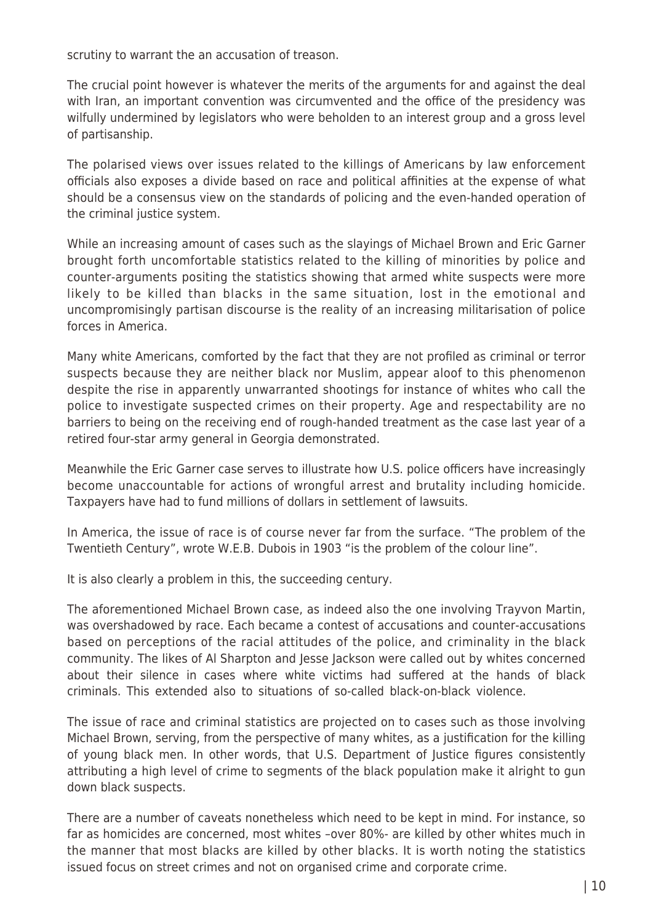scrutiny to warrant the an accusation of treason.

The crucial point however is whatever the merits of the arguments for and against the deal with Iran, an important convention was circumvented and the office of the presidency was wilfully undermined by legislators who were beholden to an interest group and a gross level of partisanship.

The polarised views over issues related to the killings of Americans by law enforcement officials also exposes a divide based on race and political affinities at the expense of what should be a consensus view on the standards of policing and the even-handed operation of the criminal justice system.

While an increasing amount of cases such as the slayings of Michael Brown and Eric Garner brought forth uncomfortable statistics related to the killing of minorities by police and counter-arguments positing the statistics showing that armed white suspects were more likely to be killed than blacks in the same situation, lost in the emotional and uncompromisingly partisan discourse is the reality of an increasing militarisation of police forces in America.

Many white Americans, comforted by the fact that they are not profiled as criminal or terror suspects because they are neither black nor Muslim, appear aloof to this phenomenon despite the rise in apparently unwarranted shootings for instance of whites who call the police to investigate suspected crimes on their property. Age and respectability are no barriers to being on the receiving end of rough-handed treatment as the case last year of a retired four-star army general in Georgia demonstrated.

Meanwhile the Eric Garner case serves to illustrate how U.S. police officers have increasingly become unaccountable for actions of wrongful arrest and brutality including homicide. Taxpayers have had to fund millions of dollars in settlement of lawsuits.

In America, the issue of race is of course never far from the surface. "The problem of the Twentieth Century", wrote W.E.B. Dubois in 1903 "is the problem of the colour line".

It is also clearly a problem in this, the succeeding century.

The aforementioned Michael Brown case, as indeed also the one involving Trayvon Martin, was overshadowed by race. Each became a contest of accusations and counter-accusations based on perceptions of the racial attitudes of the police, and criminality in the black community. The likes of Al Sharpton and Jesse Jackson were called out by whites concerned about their silence in cases where white victims had suffered at the hands of black criminals. This extended also to situations of so-called black-on-black violence.

The issue of race and criminal statistics are projected on to cases such as those involving Michael Brown, serving, from the perspective of many whites, as a justification for the killing of young black men. In other words, that U.S. Department of Justice figures consistently attributing a high level of crime to segments of the black population make it alright to gun down black suspects.

There are a number of caveats nonetheless which need to be kept in mind. For instance, so far as homicides are concerned, most whites –over 80%- are killed by other whites much in the manner that most blacks are killed by other blacks. It is worth noting the statistics issued focus on street crimes and not on organised crime and corporate crime.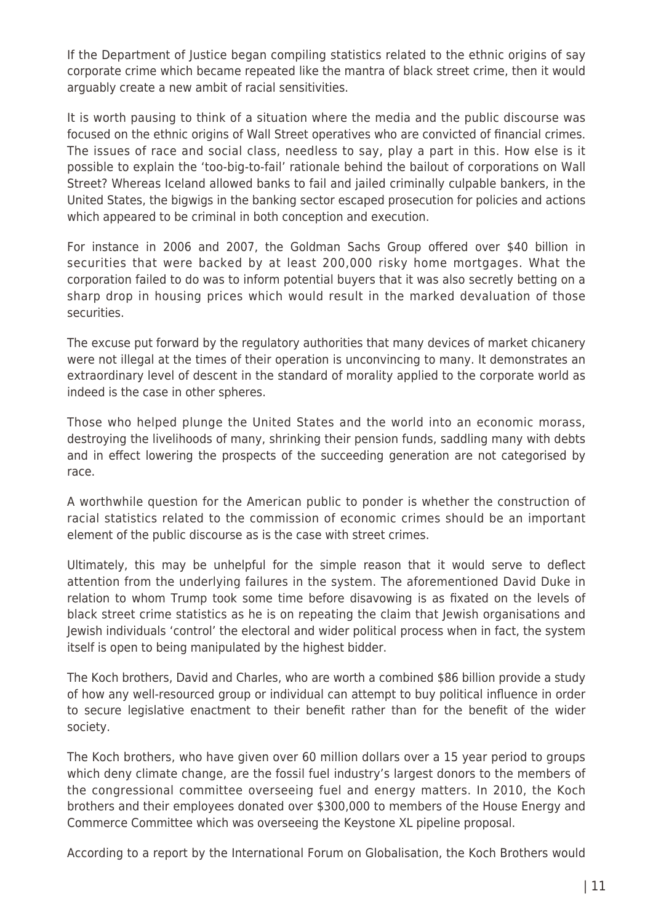If the Department of Justice began compiling statistics related to the ethnic origins of say corporate crime which became repeated like the mantra of black street crime, then it would arguably create a new ambit of racial sensitivities.

It is worth pausing to think of a situation where the media and the public discourse was focused on the ethnic origins of Wall Street operatives who are convicted of financial crimes. The issues of race and social class, needless to say, play a part in this. How else is it possible to explain the 'too-big-to-fail' rationale behind the bailout of corporations on Wall Street? Whereas Iceland allowed banks to fail and jailed criminally culpable bankers, in the United States, the bigwigs in the banking sector escaped prosecution for policies and actions which appeared to be criminal in both conception and execution.

For instance in 2006 and 2007, the Goldman Sachs Group offered over \$40 billion in securities that were backed by at least 200,000 risky home mortgages. What the corporation failed to do was to inform potential buyers that it was also secretly betting on a sharp drop in housing prices which would result in the marked devaluation of those securities.

The excuse put forward by the regulatory authorities that many devices of market chicanery were not illegal at the times of their operation is unconvincing to many. It demonstrates an extraordinary level of descent in the standard of morality applied to the corporate world as indeed is the case in other spheres.

Those who helped plunge the United States and the world into an economic morass, destroying the livelihoods of many, shrinking their pension funds, saddling many with debts and in effect lowering the prospects of the succeeding generation are not categorised by race.

A worthwhile question for the American public to ponder is whether the construction of racial statistics related to the commission of economic crimes should be an important element of the public discourse as is the case with street crimes.

Ultimately, this may be unhelpful for the simple reason that it would serve to deflect attention from the underlying failures in the system. The aforementioned David Duke in relation to whom Trump took some time before disavowing is as fixated on the levels of black street crime statistics as he is on repeating the claim that Jewish organisations and Jewish individuals 'control' the electoral and wider political process when in fact, the system itself is open to being manipulated by the highest bidder.

The Koch brothers, David and Charles, who are worth a combined \$86 billion provide a study of how any well-resourced group or individual can attempt to buy political influence in order to secure legislative enactment to their benefit rather than for the benefit of the wider society.

The Koch brothers, who have given over 60 million dollars over a 15 year period to groups which deny climate change, are the fossil fuel industry's largest donors to the members of the congressional committee overseeing fuel and energy matters. In 2010, the Koch brothers and their employees donated over \$300,000 to members of the House Energy and Commerce Committee which was overseeing the Keystone XL pipeline proposal.

According to a report by the International Forum on Globalisation, the Koch Brothers would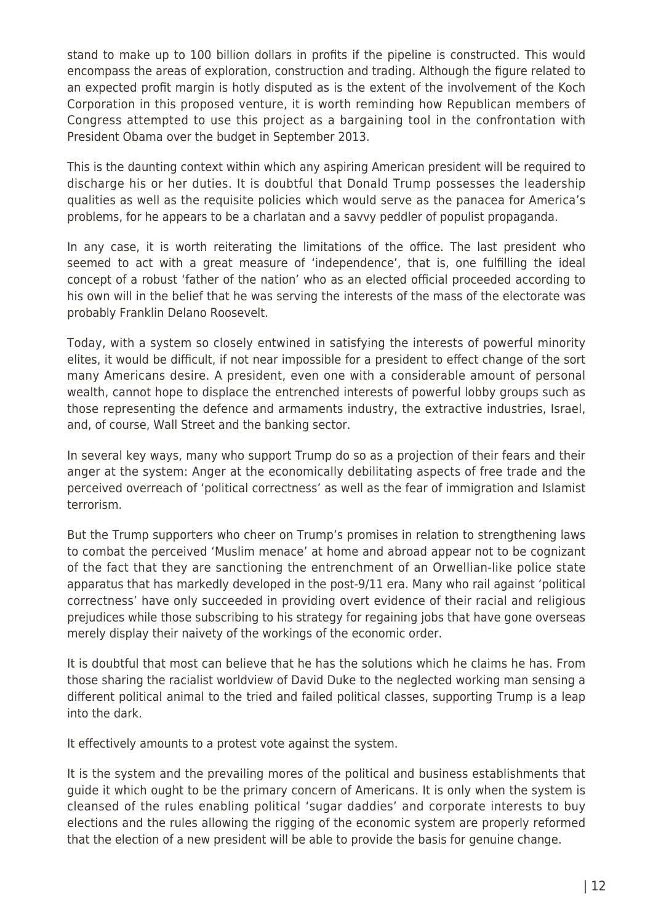stand to make up to 100 billion dollars in profits if the pipeline is constructed. This would encompass the areas of exploration, construction and trading. Although the figure related to an expected profit margin is hotly disputed as is the extent of the involvement of the Koch Corporation in this proposed venture, it is worth reminding how Republican members of Congress attempted to use this project as a bargaining tool in the confrontation with President Obama over the budget in September 2013.

This is the daunting context within which any aspiring American president will be required to discharge his or her duties. It is doubtful that Donald Trump possesses the leadership qualities as well as the requisite policies which would serve as the panacea for America's problems, for he appears to be a charlatan and a savvy peddler of populist propaganda.

In any case, it is worth reiterating the limitations of the office. The last president who seemed to act with a great measure of 'independence', that is, one fulfilling the ideal concept of a robust 'father of the nation' who as an elected official proceeded according to his own will in the belief that he was serving the interests of the mass of the electorate was probably Franklin Delano Roosevelt.

Today, with a system so closely entwined in satisfying the interests of powerful minority elites, it would be difficult, if not near impossible for a president to effect change of the sort many Americans desire. A president, even one with a considerable amount of personal wealth, cannot hope to displace the entrenched interests of powerful lobby groups such as those representing the defence and armaments industry, the extractive industries, Israel, and, of course, Wall Street and the banking sector.

In several key ways, many who support Trump do so as a projection of their fears and their anger at the system: Anger at the economically debilitating aspects of free trade and the perceived overreach of 'political correctness' as well as the fear of immigration and Islamist terrorism.

But the Trump supporters who cheer on Trump's promises in relation to strengthening laws to combat the perceived 'Muslim menace' at home and abroad appear not to be cognizant of the fact that they are sanctioning the entrenchment of an Orwellian-like police state apparatus that has markedly developed in the post-9/11 era. Many who rail against 'political correctness' have only succeeded in providing overt evidence of their racial and religious prejudices while those subscribing to his strategy for regaining jobs that have gone overseas merely display their naivety of the workings of the economic order.

It is doubtful that most can believe that he has the solutions which he claims he has. From those sharing the racialist worldview of David Duke to the neglected working man sensing a different political animal to the tried and failed political classes, supporting Trump is a leap into the dark.

It effectively amounts to a protest vote against the system.

It is the system and the prevailing mores of the political and business establishments that guide it which ought to be the primary concern of Americans. It is only when the system is cleansed of the rules enabling political 'sugar daddies' and corporate interests to buy elections and the rules allowing the rigging of the economic system are properly reformed that the election of a new president will be able to provide the basis for genuine change.